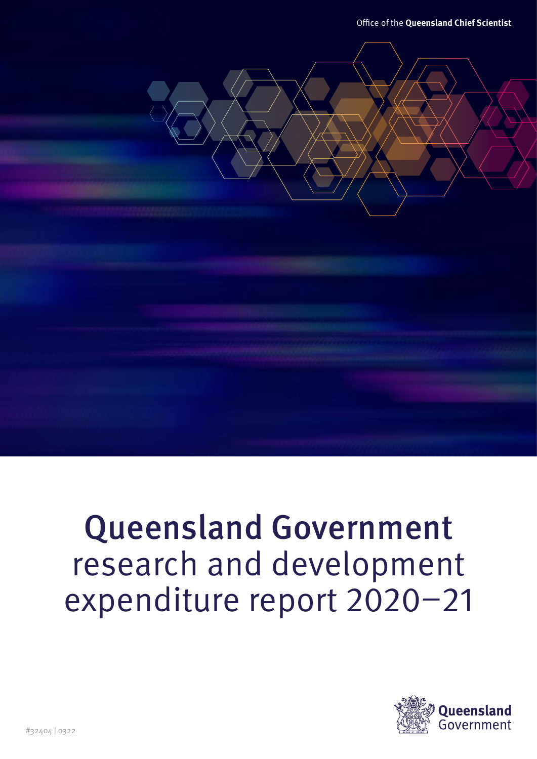Office of the **Queensland Chief Scientist**

# Queensland Government research and development expenditure report 2020–21

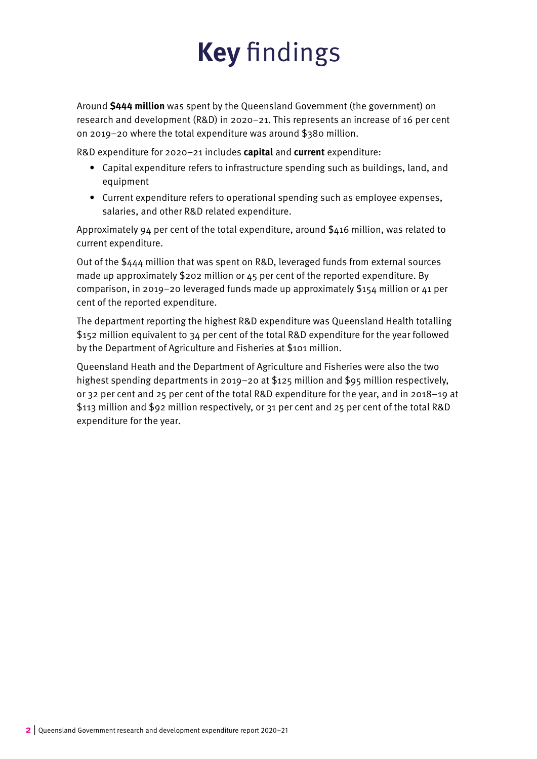# **Key** findings

Around **\$444 million** was spent by the Queensland Government (the government) on research and development (R&D) in 2020–21. This represents an increase of 16 per cent on 2019–20 where the total expenditure was around \$380 million.

R&D expenditure for 2020–21 includes **capital** and **current** expenditure:

- Capital expenditure refers to infrastructure spending such as buildings, land, and equipment
- Current expenditure refers to operational spending such as employee expenses, salaries, and other R&D related expenditure.

Approximately 94 per cent of the total expenditure, around  $$416$  million, was related to current expenditure.

Out of the \$444 million that was spent on R&D, leveraged funds from external sources made up approximately \$202 million or 45 per cent of the reported expenditure. By comparison, in 2019–20 leveraged funds made up approximately \$154 million or 41 per cent of the reported expenditure.

The department reporting the highest R&D expenditure was Queensland Health totalling \$152 million equivalent to 34 per cent of the total R&D expenditure for the year followed by the Department of Agriculture and Fisheries at \$101 million.

Queensland Heath and the Department of Agriculture and Fisheries were also the two highest spending departments in 2019–20 at \$125 million and \$95 million respectively. or 32 per cent and 25 per cent of the total R&D expenditure for the year, and in 2018–19 at \$113 million and \$92 million respectively, or 31 per cent and 25 per cent of the total R&D expenditure for the year.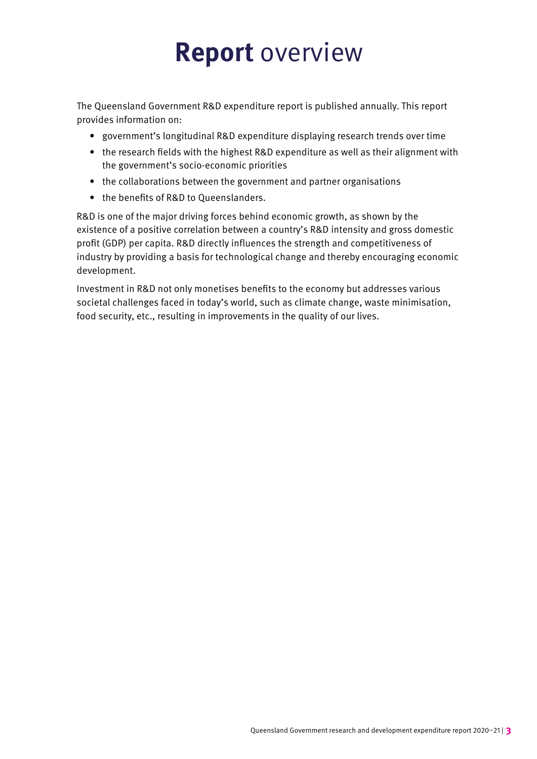# **Report** overview

The Queensland Government R&D expenditure report is published annually. This report provides information on:

- government's longitudinal R&D expenditure displaying research trends over time
- the research fields with the highest R&D expenditure as well as their alignment with the government's socio-economic priorities
- the collaborations between the government and partner organisations
- the benefits of R&D to Queenslanders.

R&D is one of the major driving forces behind economic growth, as shown by the existence of a positive correlation between a country's R&D intensity and gross domestic profit (GDP) per capita. R&D directly influences the strength and competitiveness of industry by providing a basis for technological change and thereby encouraging economic development.

Investment in R&D not only monetises benefits to the economy but addresses various societal challenges faced in today's world, such as climate change, waste minimisation, food security, etc., resulting in improvements in the quality of our lives.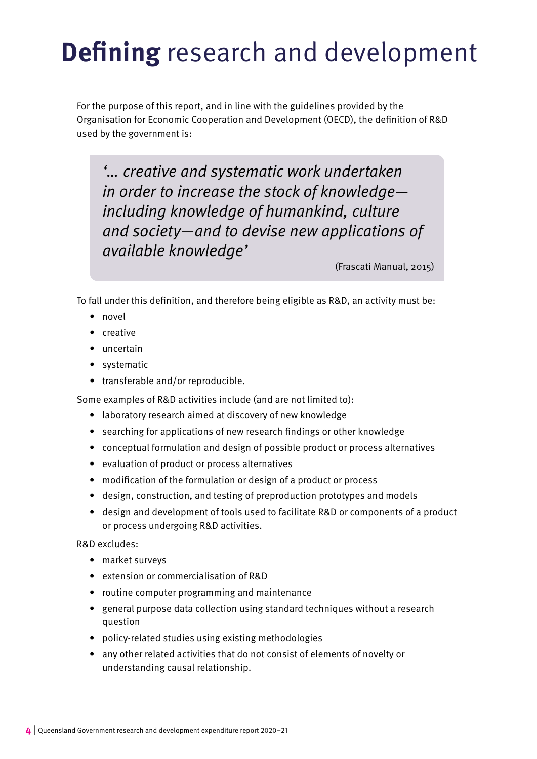# **Defining** research and development

For the purpose of this report, and in line with the guidelines provided by the Organisation for Economic Cooperation and Development (OECD), the definition of R&D used by the government is:

'… creative and systematic work undertaken in order to increase the stock of knowledge including knowledge of humankind, culture and society—and to devise new applications of available knowledge'

(Frascati Manual, 2015)

To fall under this definition, and therefore being eligible as R&D, an activity must be:

- novel
- creative
- uncertain
- systematic
- transferable and/or reproducible.

Some examples of R&D activities include (and are not limited to):

- laboratory research aimed at discovery of new knowledge
- searching for applications of new research findings or other knowledge
- conceptual formulation and design of possible product or process alternatives
- evaluation of product or process alternatives
- modification of the formulation or design of a product or process
- design, construction, and testing of preproduction prototypes and models
- design and development of tools used to facilitate R&D or components of a product or process undergoing R&D activities.

R&D excludes:

- market surveys
- extension or commercialisation of R&D
- routine computer programming and maintenance
- general purpose data collection using standard techniques without a research question
- policy-related studies using existing methodologies
- any other related activities that do not consist of elements of novelty or understanding causal relationship.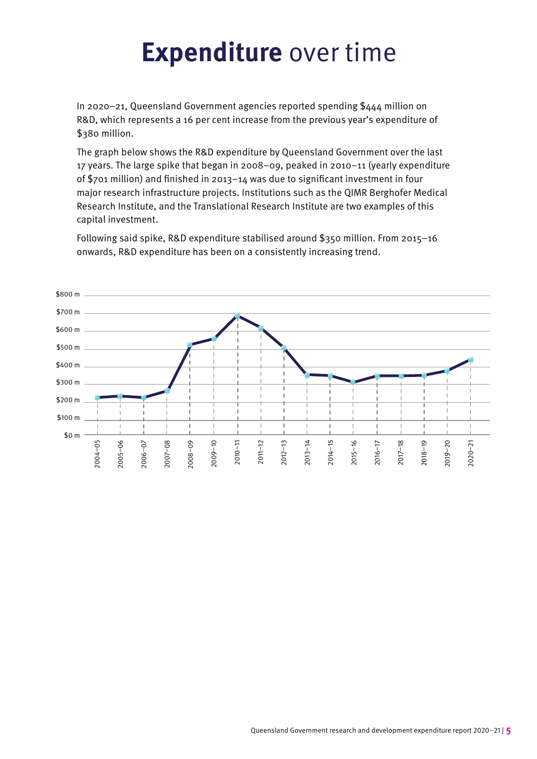# **Expenditure** over time

In 2020–21, Queensland Government agencies reported spending \$444 million on R&D, which represents a 16 per cent increase from the previous year's expenditure of \$380 million.

The graph below shows the R&D expenditure by Queensland Government over the last 17 years. The large spike that began in 2008–09, peaked in 2010–11 (yearly expenditure of \$701 million) and finished in 2013–14 was due to significant investment in four major research infrastructure projects. Institutions such as the QIMR Berghofer Medical Research Institute, and the Translational Research Institute are two examples of this capital investment.

Following said spike, R&D expenditure stabilised around \$350 million. From 2015–16 onwards, R&D expenditure has been on a consistently increasing trend.

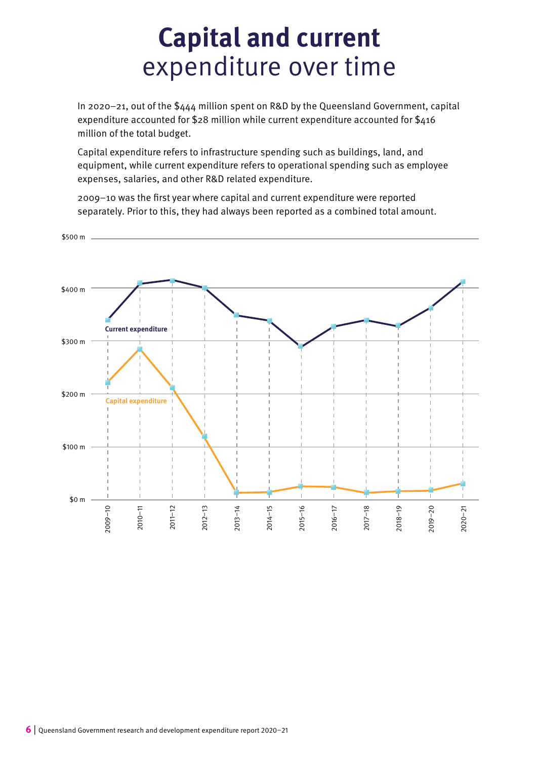### **Capital and current** expenditure over time

In 2020–21, out of the \$444 million spent on R&D by the Queensland Government, capital expenditure accounted for \$28 million while current expenditure accounted for \$416 million of the total budget.

Capital expenditure refers to infrastructure spending such as buildings, land, and equipment, while current expenditure refers to operational spending such as employee expenses, salaries, and other R&D related expenditure.

2009–10 was the first year where capital and current expenditure were reported separately. Prior to this, they had always been reported as a combined total amount.

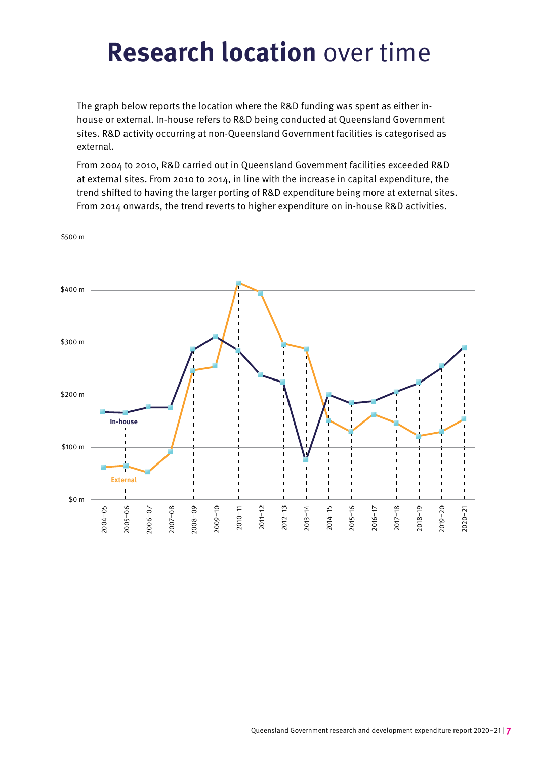## **Research location** over time

The graph below reports the location where the R&D funding was spent as either inhouse or external. In-house refers to R&D being conducted at Queensland Government sites. R&D activity occurring at non-Queensland Government facilities is categorised as external.

From 2004 to 2010, R&D carried out in Queensland Government facilities exceeded R&D at external sites. From 2010 to 2014, in line with the increase in capital expenditure, the trend shifted to having the larger porting of R&D expenditure being more at external sites. From 2014 onwards, the trend reverts to higher expenditure on in-house R&D activities.

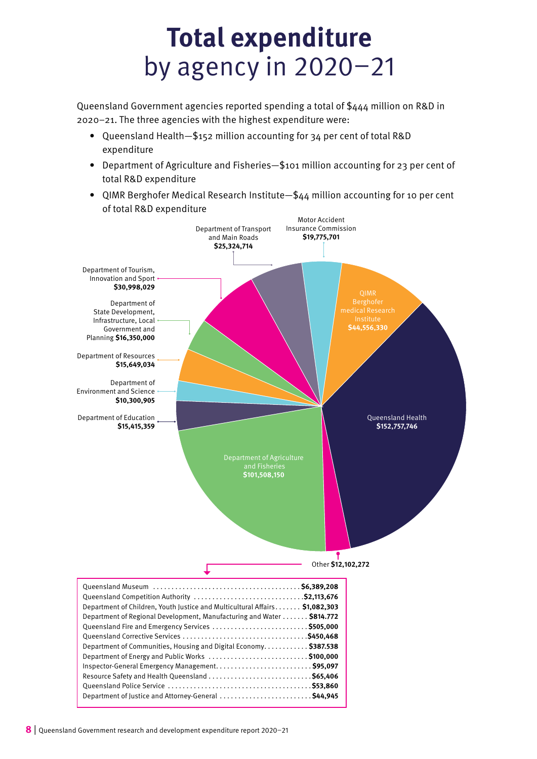## **Total expenditure** by agency in 2020–21

Queensland Government agencies reported spending a total of \$444 million on R&D in 2020–21. The three agencies with the highest expenditure were:

- Queensland Health—\$152 million accounting for 34 per cent of total R&D expenditure
- Department of Agriculture and Fisheries—\$101 million accounting for 23 per cent of total R&D expenditure
- QIMR Berghofer Medical Research Institute—\$44 million accounting for 10 per cent of total R&D expenditure

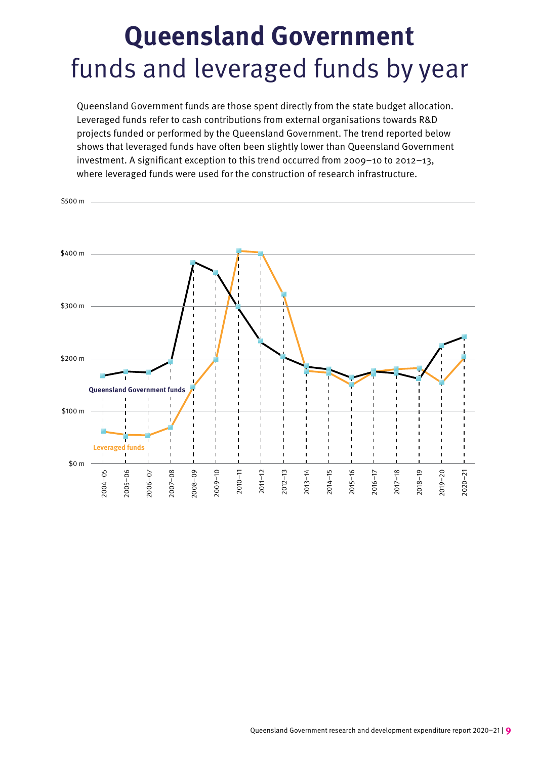# **Queensland Government** funds and leveraged funds by year

Queensland Government funds are those spent directly from the state budget allocation. Leveraged funds refer to cash contributions from external organisations towards R&D projects funded or performed by the Queensland Government. The trend reported below shows that leveraged funds have often been slightly lower than Queensland Government investment. A significant exception to this trend occurred from 2009–10 to 2012–13, where leveraged funds were used for the construction of research infrastructure.

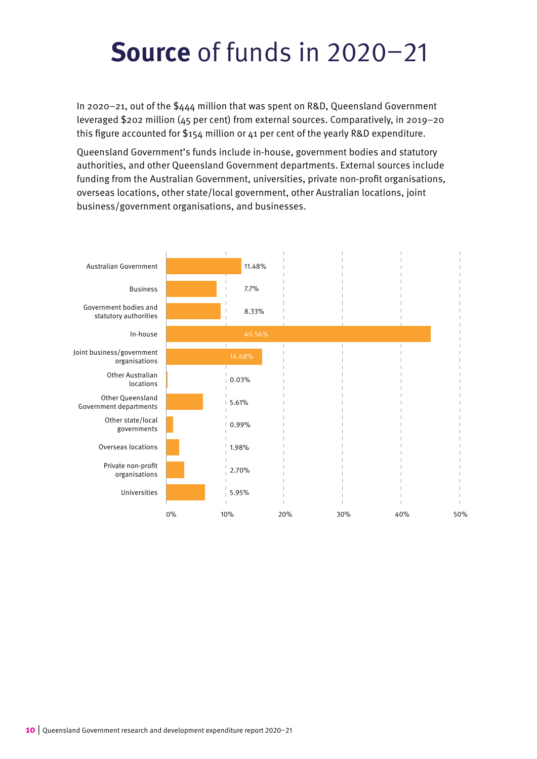# **Source** of funds in 2020–21

In 2020–21, out of the \$444 million that was spent on R&D, Queensland Government leveraged \$202 million (45 per cent) from external sources. Comparatively, in 2019–20 this figure accounted for \$154 million or 41 per cent of the yearly R&D expenditure.

Queensland Government's funds include in-house, government bodies and statutory authorities, and other Queensland Government departments. External sources include funding from the Australian Government, universities, private non-profit organisations, overseas locations, other state/local government, other Australian locations, joint business/government organisations, and businesses.

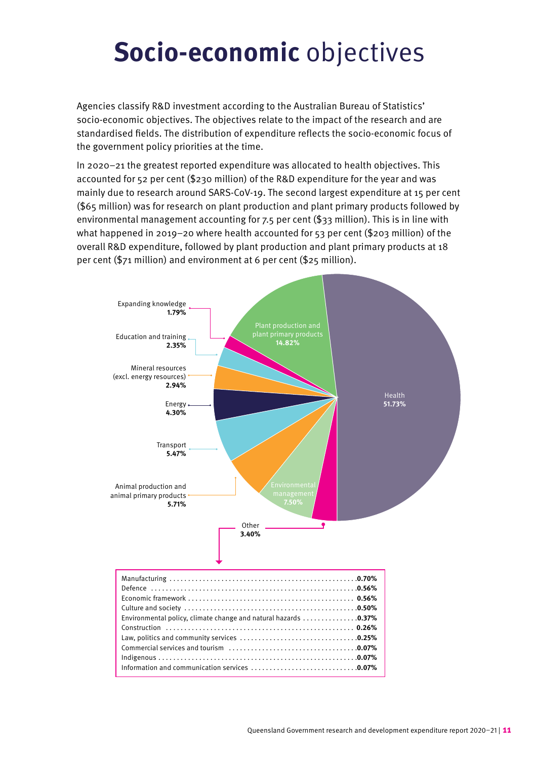# **Socio-economic** objectives

Agencies classify R&D investment according to the Australian Bureau of Statistics' socio-economic objectives. The objectives relate to the impact of the research and are standardised fields. The distribution of expenditure reflects the socio-economic focus of the government policy priorities at the time.

In 2020–21 the greatest reported expenditure was allocated to health objectives. This accounted for 52 per cent (\$230 million) of the R&D expenditure for the year and was mainly due to research around SARS-CoV-19. The second largest expenditure at 15 per cent (\$65 million) was for research on plant production and plant primary products followed by environmental management accounting for 7.5 per cent (\$33 million). This is in line with what happened in 2019–20 where health accounted for 53 per cent (\$203 million) of the overall R&D expenditure, followed by plant production and plant primary products at 18 per cent (\$71 million) and environment at 6 per cent (\$25 million).

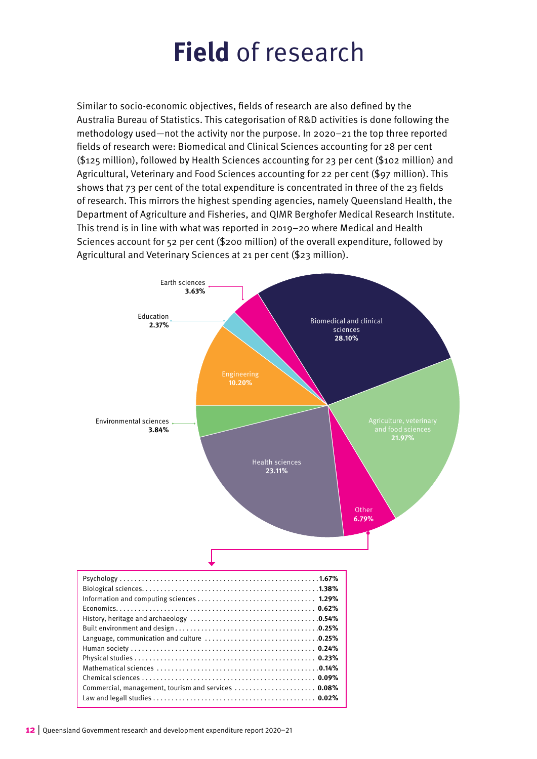# **Field** of research

Similar to socio-economic objectives, fields of research are also defined by the Australia Bureau of Statistics. This categorisation of R&D activities is done following the methodology used—not the activity nor the purpose. In 2020–21 the top three reported fields of research were: Biomedical and Clinical Sciences accounting for 28 per cent (\$125 million), followed by Health Sciences accounting for 23 per cent (\$102 million) and Agricultural, Veterinary and Food Sciences accounting for 22 per cent (\$97 million). This shows that 73 per cent of the total expenditure is concentrated in three of the 23 fields of research. This mirrors the highest spending agencies, namely Queensland Health, the Department of Agriculture and Fisheries, and QIMR Berghofer Medical Research Institute. This trend is in line with what was reported in 2019–20 where Medical and Health Sciences account for 52 per cent (\$200 million) of the overall expenditure, followed by Agricultural and Veterinary Sciences at 21 per cent (\$23 million).

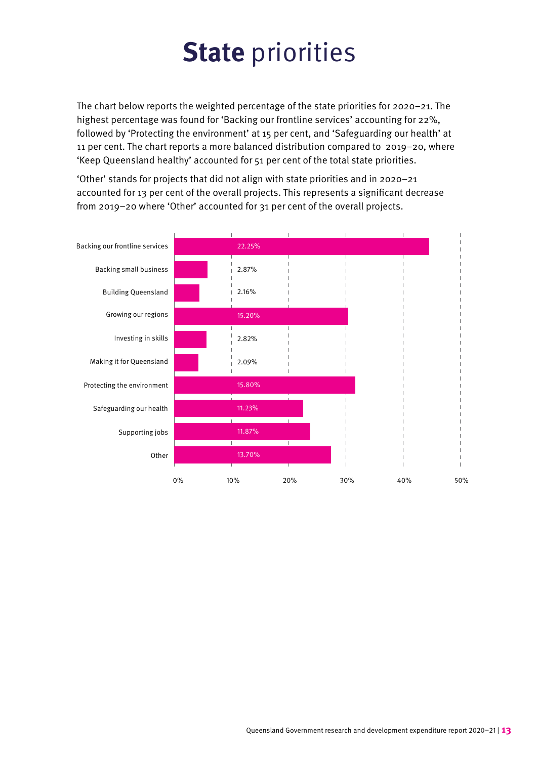# **State** priorities

The chart below reports the weighted percentage of the state priorities for 2020–21. The highest percentage was found for 'Backing our frontline services' accounting for 22%, followed by 'Protecting the environment' at 15 per cent, and 'Safeguarding our health' at 11 per cent. The chart reports a more balanced distribution compared to 2019–20, where 'Keep Queensland healthy' accounted for 51 per cent of the total state priorities.

'Other' stands for projects that did not align with state priorities and in 2020–21 accounted for 13 per cent of the overall projects. This represents a significant decrease from 2019–20 where 'Other' accounted for 31 per cent of the overall projects.

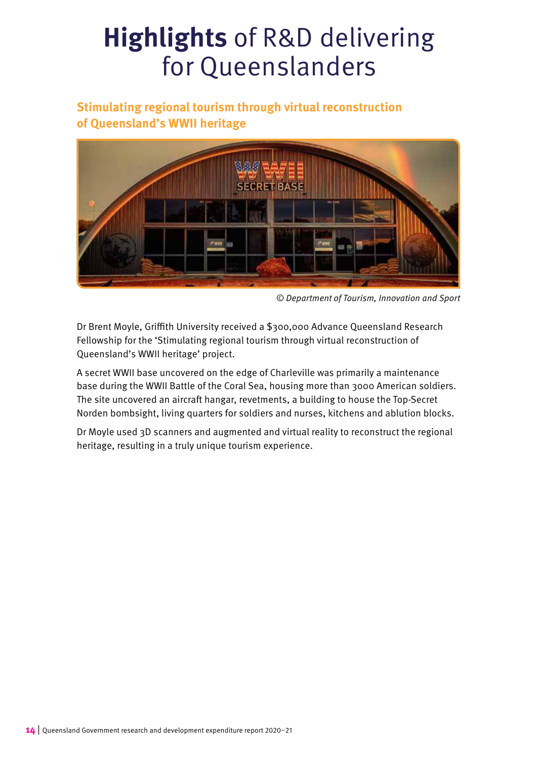#### **Stimulating regional tourism through virtual reconstruction of Queensland's WWII heritage**



© Department of Tourism, Innovation and Sport

Dr Brent Moyle, Griffith University received a \$300,000 Advance Queensland Research Fellowship for the 'Stimulating regional tourism through virtual reconstruction of Queensland's WWII heritage' project.

A secret WWII base uncovered on the edge of Charleville was primarily a maintenance base during the WWII Battle of the Coral Sea, housing more than 3000 American soldiers. The site uncovered an aircraft hangar, revetments, a building to house the Top-Secret Norden bombsight, living quarters for soldiers and nurses, kitchens and ablution blocks.

Dr Moyle used 3D scanners and augmented and virtual reality to reconstruct the regional heritage, resulting in a truly unique tourism experience.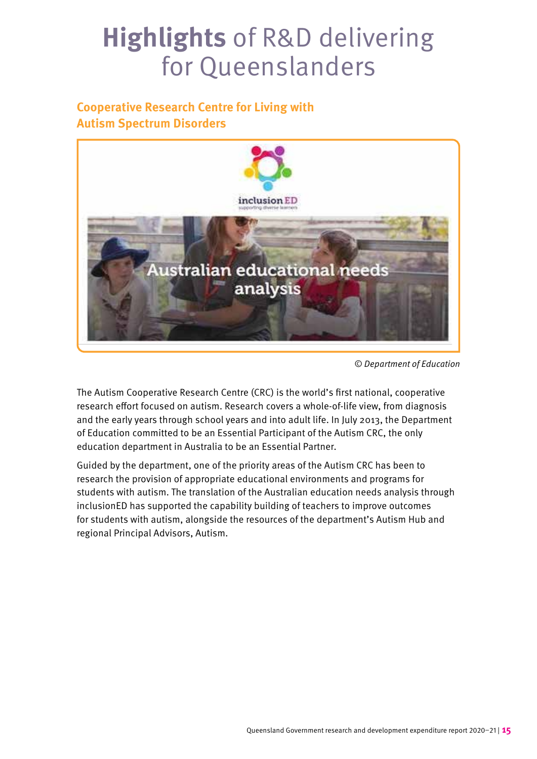#### **Cooperative Research Centre for Living with Autism Spectrum Disorders**



© Department of Education

The Autism Cooperative Research Centre (CRC) is the world's first national, cooperative research effort focused on autism. Research covers a whole-of-life view, from diagnosis and the early years through school years and into adult life. In July 2013, the Department of Education committed to be an Essential Participant of the Autism CRC, the only education department in Australia to be an Essential Partner.

Guided by the department, one of the priority areas of the Autism CRC has been to research the provision of appropriate educational environments and programs for students with autism. The translation of the Australian education needs analysis through inclusionED has supported the capability building of teachers to improve outcomes for students with autism, alongside the resources of the department's Autism Hub and regional Principal Advisors, Autism.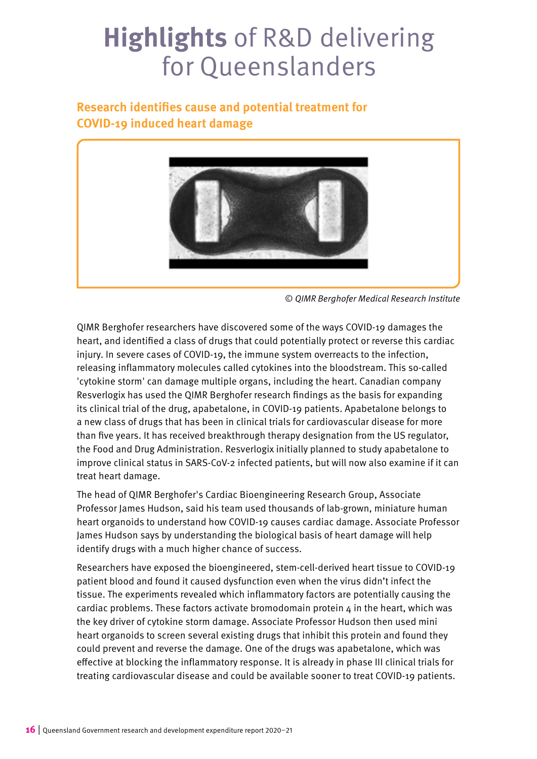#### **Research identifies cause and potential treatment for COVID-19 induced heart damage**



<sup>©</sup> QIMR Berghofer Medical Research Institute

QIMR Berghofer researchers have discovered some of the ways COVID-19 damages the heart, and identified a class of drugs that could potentially protect or reverse this cardiac injury. In severe cases of COVID-19, the immune system overreacts to the infection, releasing inflammatory molecules called cytokines into the bloodstream. This so-called 'cytokine storm' can damage multiple organs, including the heart. Canadian company Resverlogix has used the QIMR Berghofer research findings as the basis for expanding its clinical trial of the drug, apabetalone, in COVID-19 patients. Apabetalone belongs to a new class of drugs that has been in clinical trials for cardiovascular disease for more than five years. It has received breakthrough therapy designation from the US regulator, the Food and Drug Administration. Resverlogix initially planned to study apabetalone to improve clinical status in SARS-CoV-2 infected patients, but will now also examine if it can treat heart damage.

The head of QIMR Berghofer's Cardiac Bioengineering Research Group, Associate Professor James Hudson, said his team used thousands of lab-grown, miniature human heart organoids to understand how COVID-19 causes cardiac damage. Associate Professor James Hudson says by understanding the biological basis of heart damage will help identify drugs with a much higher chance of success.

Researchers have exposed the bioengineered, stem-cell-derived heart tissue to COVID-19 patient blood and found it caused dysfunction even when the virus didn't infect the tissue. The experiments revealed which inflammatory factors are potentially causing the cardiac problems. These factors activate bromodomain protein  $4$  in the heart, which was the key driver of cytokine storm damage. Associate Professor Hudson then used mini heart organoids to screen several existing drugs that inhibit this protein and found they could prevent and reverse the damage. One of the drugs was apabetalone, which was effective at blocking the inflammatory response. It is already in phase III clinical trials for treating cardiovascular disease and could be available sooner to treat COVID-19 patients.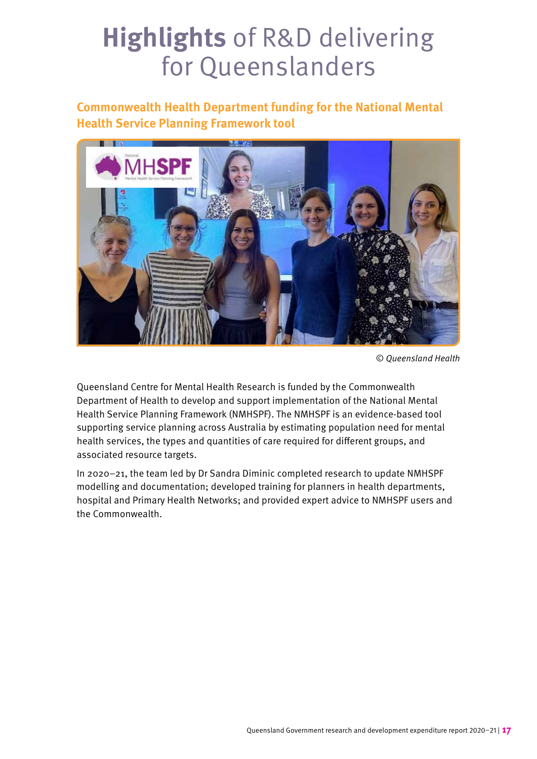#### **Commonwealth Health Department funding for the National Mental Health Service Planning Framework tool**



© Queensland Health

Queensland Centre for Mental Health Research is funded by the Commonwealth Department of Health to develop and support implementation of the National Mental Health Service Planning Framework (NMHSPF). The NMHSPF is an evidence-based tool supporting service planning across Australia by estimating population need for mental health services, the types and quantities of care required for different groups, and associated resource targets.

In 2020–21, the team led by Dr Sandra Diminic completed research to update NMHSPF modelling and documentation; developed training for planners in health departments, hospital and Primary Health Networks; and provided expert advice to NMHSPF users and the Commonwealth.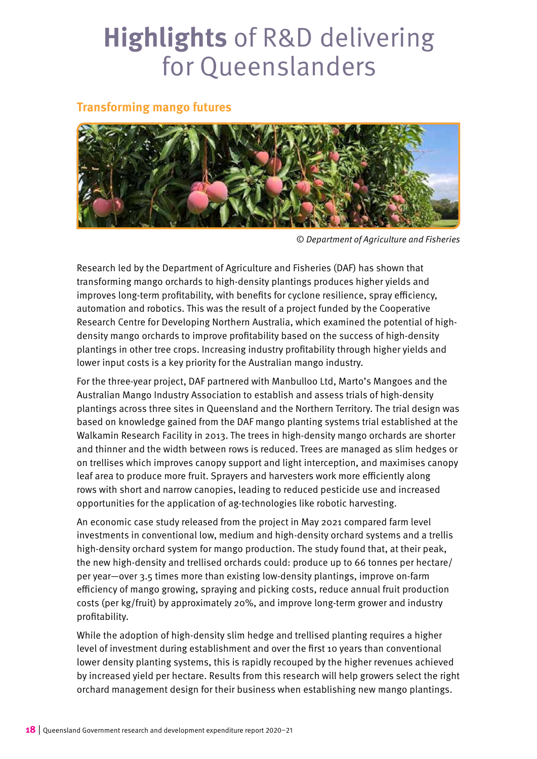#### **Transforming mango futures**



© Department of Agriculture and Fisheries

Research led by the Department of Agriculture and Fisheries (DAF) has shown that transforming mango orchards to high-density plantings produces higher yields and improves long-term profitability, with benefits for cyclone resilience, spray efficiency, automation and robotics. This was the result of a project funded by the Cooperative Research Centre for Developing Northern Australia, which examined the potential of highdensity mango orchards to improve profitability based on the success of high-density plantings in other tree crops. Increasing industry profitability through higher yields and lower input costs is a key priority for the Australian mango industry.

For the three-year project, DAF partnered with Manbulloo Ltd, Marto's Mangoes and the Australian Mango Industry Association to establish and assess trials of high-density plantings across three sites in Queensland and the Northern Territory. The trial design was based on knowledge gained from the DAF mango planting systems trial established at the Walkamin Research Facility in 2013. The trees in high-density mango orchards are shorter and thinner and the width between rows is reduced. Trees are managed as slim hedges or on trellises which improves canopy support and light interception, and maximises canopy leaf area to produce more fruit. Sprayers and harvesters work more efficiently along rows with short and narrow canopies, leading to reduced pesticide use and increased opportunities for the application of ag-technologies like robotic harvesting.

An economic case study released from the project in May 2021 compared farm level investments in conventional low, medium and high-density orchard systems and a trellis high-density orchard system for mango production. The study found that, at their peak, the new high-density and trellised orchards could: produce up to 66 tonnes per hectare/ per year—over 3.5 times more than existing low-density plantings, improve on-farm efficiency of mango growing, spraying and picking costs, reduce annual fruit production costs (per kg/fruit) by approximately 20%, and improve long-term grower and industry profitability.

While the adoption of high-density slim hedge and trellised planting requires a higher level of investment during establishment and over the first 10 years than conventional lower density planting systems, this is rapidly recouped by the higher revenues achieved by increased yield per hectare. Results from this research will help growers select the right orchard management design for their business when establishing new mango plantings.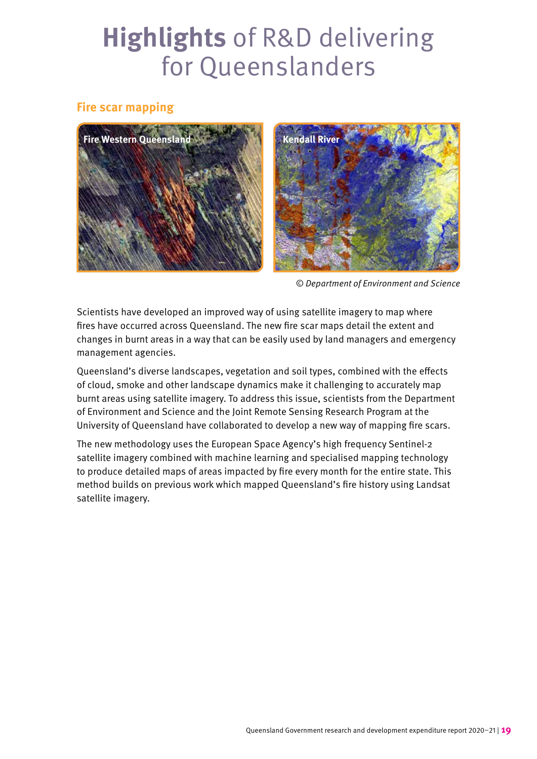#### **Fire scar mapping**



© Department of Environment and Science

Scientists have developed an improved way of using satellite imagery to map where fires have occurred across Queensland. The new fire scar maps detail the extent and changes in burnt areas in a way that can be easily used by land managers and emergency management agencies.

Queensland's diverse landscapes, vegetation and soil types, combined with the effects of cloud, smoke and other landscape dynamics make it challenging to accurately map burnt areas using satellite imagery. To address this issue, scientists from the Department of Environment and Science and the Joint Remote Sensing Research Program at the University of Queensland have collaborated to develop a new way of mapping fire scars.

The new methodology uses the European Space Agency's high frequency Sentinel-2 satellite imagery combined with machine learning and specialised mapping technology to produce detailed maps of areas impacted by fire every month for the entire state. This method builds on previous work which mapped Queensland's fire history using Landsat satellite imagery.